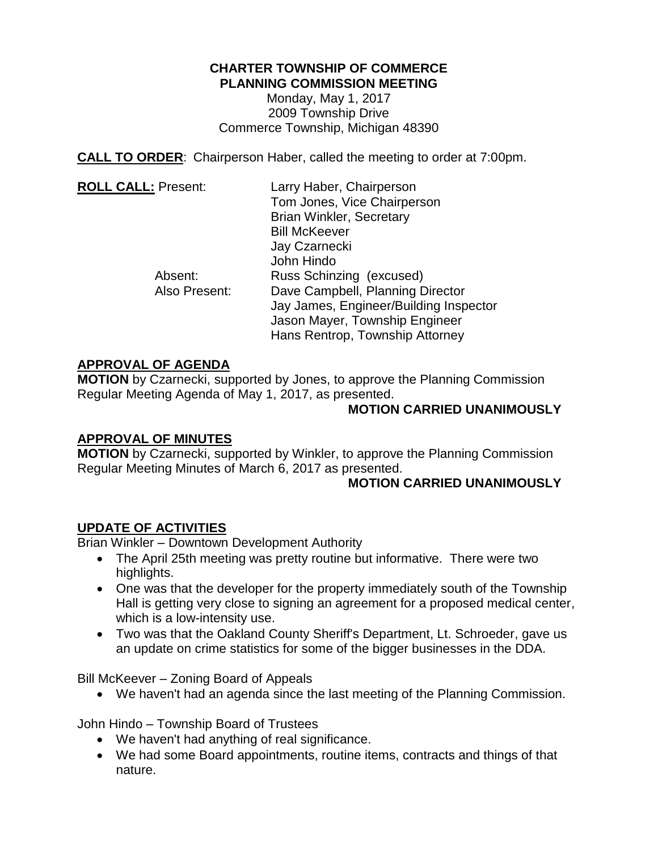## **CHARTER TOWNSHIP OF COMMERCE PLANNING COMMISSION MEETING**

Monday, May 1, 2017 2009 Township Drive Commerce Township, Michigan 48390

**CALL TO ORDER**: Chairperson Haber, called the meeting to order at 7:00pm.

| <b>ROLL CALL: Present:</b> | Larry Haber, Chairperson               |
|----------------------------|----------------------------------------|
|                            | Tom Jones, Vice Chairperson            |
|                            | <b>Brian Winkler, Secretary</b>        |
|                            | <b>Bill McKeever</b>                   |
|                            | Jay Czarnecki                          |
|                            | John Hindo                             |
| Absent:                    | Russ Schinzing (excused)               |
| Also Present:              | Dave Campbell, Planning Director       |
|                            | Jay James, Engineer/Building Inspector |
|                            | Jason Mayer, Township Engineer         |
|                            | Hans Rentrop, Township Attorney        |

# **APPROVAL OF AGENDA**

**MOTION** by Czarnecki, supported by Jones, to approve the Planning Commission Regular Meeting Agenda of May 1, 2017, as presented.

### **MOTION CARRIED UNANIMOUSLY**

### **APPROVAL OF MINUTES**

**MOTION** by Czarnecki, supported by Winkler, to approve the Planning Commission Regular Meeting Minutes of March 6, 2017 as presented.

### **MOTION CARRIED UNANIMOUSLY**

# **UPDATE OF ACTIVITIES**

Brian Winkler – Downtown Development Authority

- The April 25th meeting was pretty routine but informative. There were two highlights.
- One was that the developer for the property immediately south of the Township Hall is getting very close to signing an agreement for a proposed medical center, which is a low-intensity use.
- Two was that the Oakland County Sheriff's Department, Lt. Schroeder, gave us an update on crime statistics for some of the bigger businesses in the DDA.

Bill McKeever – Zoning Board of Appeals

We haven't had an agenda since the last meeting of the Planning Commission.

John Hindo – Township Board of Trustees

- We haven't had anything of real significance.
- We had some Board appointments, routine items, contracts and things of that nature.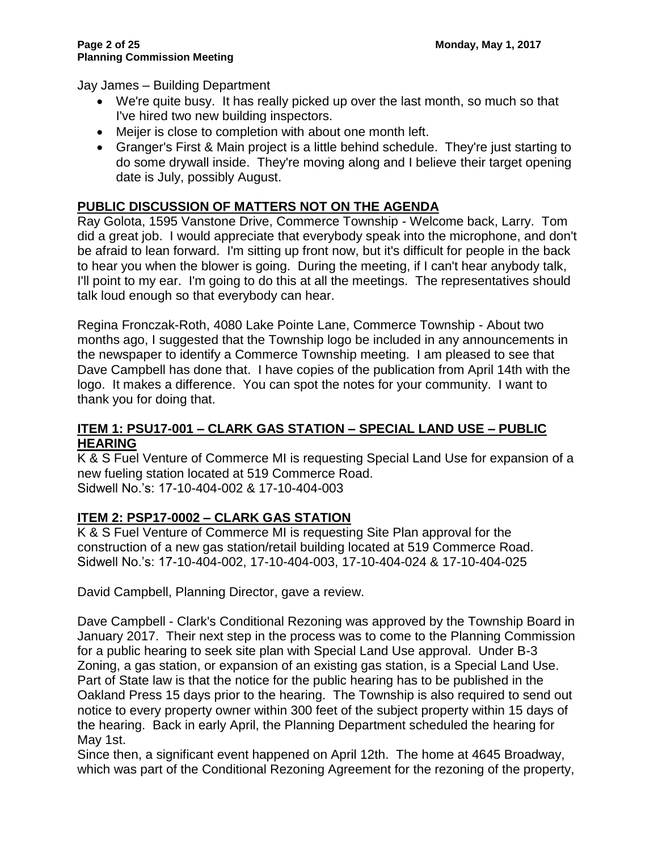Jay James – Building Department

- We're quite busy. It has really picked up over the last month, so much so that I've hired two new building inspectors.
- Meijer is close to completion with about one month left.
- Granger's First & Main project is a little behind schedule. They're just starting to do some drywall inside. They're moving along and I believe their target opening date is July, possibly August.

# **PUBLIC DISCUSSION OF MATTERS NOT ON THE AGENDA**

Ray Golota, 1595 Vanstone Drive, Commerce Township - Welcome back, Larry. Tom did a great job. I would appreciate that everybody speak into the microphone, and don't be afraid to lean forward. I'm sitting up front now, but it's difficult for people in the back to hear you when the blower is going. During the meeting, if I can't hear anybody talk, I'll point to my ear. I'm going to do this at all the meetings. The representatives should talk loud enough so that everybody can hear.

Regina Fronczak-Roth, 4080 Lake Pointe Lane, Commerce Township - About two months ago, I suggested that the Township logo be included in any announcements in the newspaper to identify a Commerce Township meeting. I am pleased to see that Dave Campbell has done that. I have copies of the publication from April 14th with the logo. It makes a difference. You can spot the notes for your community. I want to thank you for doing that.

### **ITEM 1: PSU17-001 – CLARK GAS STATION – SPECIAL LAND USE – PUBLIC HEARING**

K & S Fuel Venture of Commerce MI is requesting Special Land Use for expansion of a new fueling station located at 519 Commerce Road. Sidwell No.'s: 17-10-404-002 & 17-10-404-003

# **ITEM 2: PSP17-0002 – CLARK GAS STATION**

K & S Fuel Venture of Commerce MI is requesting Site Plan approval for the construction of a new gas station/retail building located at 519 Commerce Road. Sidwell No.'s: 17-10-404-002, 17-10-404-003, 17-10-404-024 & 17-10-404-025

David Campbell, Planning Director, gave a review.

Dave Campbell - Clark's Conditional Rezoning was approved by the Township Board in January 2017. Their next step in the process was to come to the Planning Commission for a public hearing to seek site plan with Special Land Use approval. Under B-3 Zoning, a gas station, or expansion of an existing gas station, is a Special Land Use. Part of State law is that the notice for the public hearing has to be published in the Oakland Press 15 days prior to the hearing. The Township is also required to send out notice to every property owner within 300 feet of the subject property within 15 days of the hearing. Back in early April, the Planning Department scheduled the hearing for May 1st.

Since then, a significant event happened on April 12th. The home at 4645 Broadway, which was part of the Conditional Rezoning Agreement for the rezoning of the property,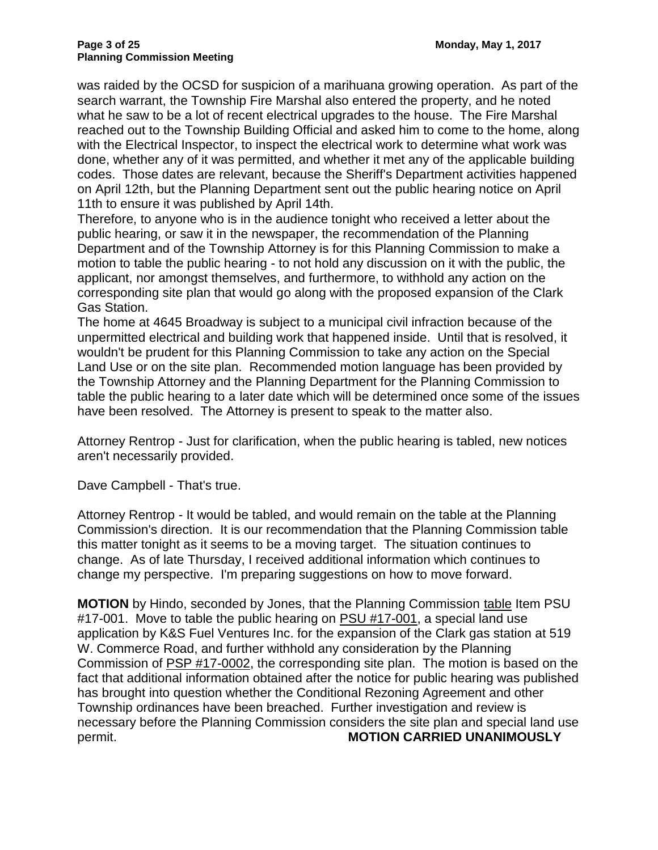was raided by the OCSD for suspicion of a marihuana growing operation. As part of the search warrant, the Township Fire Marshal also entered the property, and he noted what he saw to be a lot of recent electrical upgrades to the house. The Fire Marshal reached out to the Township Building Official and asked him to come to the home, along with the Electrical Inspector, to inspect the electrical work to determine what work was done, whether any of it was permitted, and whether it met any of the applicable building codes. Those dates are relevant, because the Sheriff's Department activities happened on April 12th, but the Planning Department sent out the public hearing notice on April 11th to ensure it was published by April 14th.

Therefore, to anyone who is in the audience tonight who received a letter about the public hearing, or saw it in the newspaper, the recommendation of the Planning Department and of the Township Attorney is for this Planning Commission to make a motion to table the public hearing - to not hold any discussion on it with the public, the applicant, nor amongst themselves, and furthermore, to withhold any action on the corresponding site plan that would go along with the proposed expansion of the Clark Gas Station.

The home at 4645 Broadway is subject to a municipal civil infraction because of the unpermitted electrical and building work that happened inside. Until that is resolved, it wouldn't be prudent for this Planning Commission to take any action on the Special Land Use or on the site plan. Recommended motion language has been provided by the Township Attorney and the Planning Department for the Planning Commission to table the public hearing to a later date which will be determined once some of the issues have been resolved. The Attorney is present to speak to the matter also.

Attorney Rentrop - Just for clarification, when the public hearing is tabled, new notices aren't necessarily provided.

Dave Campbell - That's true.

Attorney Rentrop - It would be tabled, and would remain on the table at the Planning Commission's direction. It is our recommendation that the Planning Commission table this matter tonight as it seems to be a moving target. The situation continues to change. As of late Thursday, I received additional information which continues to change my perspective. I'm preparing suggestions on how to move forward.

**MOTION** by Hindo, seconded by Jones, that the Planning Commission table Item PSU #17-001. Move to table the public hearing on PSU #17-001, a special land use application by K&S Fuel Ventures Inc. for the expansion of the Clark gas station at 519 W. Commerce Road, and further withhold any consideration by the Planning Commission of PSP #17-0002, the corresponding site plan. The motion is based on the fact that additional information obtained after the notice for public hearing was published has brought into question whether the Conditional Rezoning Agreement and other Township ordinances have been breached. Further investigation and review is necessary before the Planning Commission considers the site plan and special land use permit. **MOTION CARRIED UNANIMOUSLY**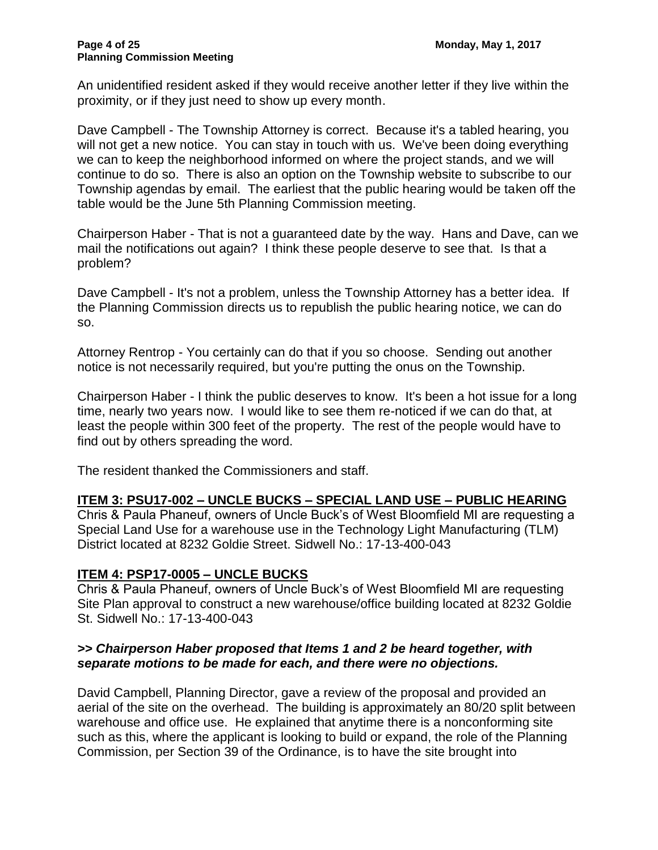An unidentified resident asked if they would receive another letter if they live within the proximity, or if they just need to show up every month.

Dave Campbell - The Township Attorney is correct. Because it's a tabled hearing, you will not get a new notice. You can stay in touch with us. We've been doing everything we can to keep the neighborhood informed on where the project stands, and we will continue to do so. There is also an option on the Township website to subscribe to our Township agendas by email. The earliest that the public hearing would be taken off the table would be the June 5th Planning Commission meeting.

Chairperson Haber - That is not a guaranteed date by the way. Hans and Dave, can we mail the notifications out again? I think these people deserve to see that. Is that a problem?

Dave Campbell - It's not a problem, unless the Township Attorney has a better idea. If the Planning Commission directs us to republish the public hearing notice, we can do so.

Attorney Rentrop - You certainly can do that if you so choose. Sending out another notice is not necessarily required, but you're putting the onus on the Township.

Chairperson Haber - I think the public deserves to know. It's been a hot issue for a long time, nearly two years now. I would like to see them re-noticed if we can do that, at least the people within 300 feet of the property. The rest of the people would have to find out by others spreading the word.

The resident thanked the Commissioners and staff.

#### **ITEM 3: PSU17-002 – UNCLE BUCKS – SPECIAL LAND USE – PUBLIC HEARING**

Chris & Paula Phaneuf, owners of Uncle Buck's of West Bloomfield MI are requesting a Special Land Use for a warehouse use in the Technology Light Manufacturing (TLM) District located at 8232 Goldie Street. Sidwell No.: 17-13-400-043

#### **ITEM 4: PSP17-0005 – UNCLE BUCKS**

Chris & Paula Phaneuf, owners of Uncle Buck's of West Bloomfield MI are requesting Site Plan approval to construct a new warehouse/office building located at 8232 Goldie St. Sidwell No.: 17-13-400-043

#### *>> Chairperson Haber proposed that Items 1 and 2 be heard together, with separate motions to be made for each, and there were no objections.*

David Campbell, Planning Director, gave a review of the proposal and provided an aerial of the site on the overhead. The building is approximately an 80/20 split between warehouse and office use. He explained that anytime there is a nonconforming site such as this, where the applicant is looking to build or expand, the role of the Planning Commission, per Section 39 of the Ordinance, is to have the site brought into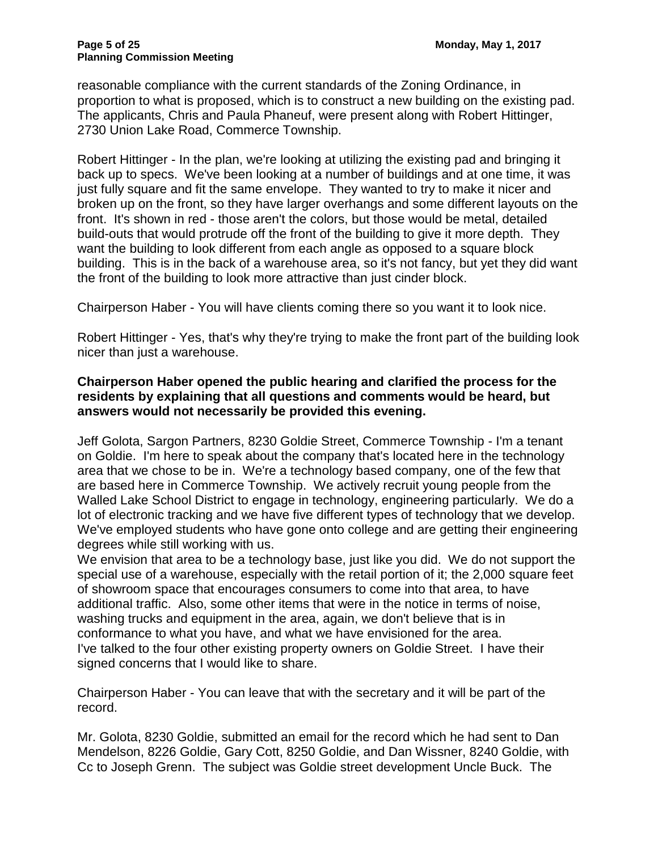reasonable compliance with the current standards of the Zoning Ordinance, in proportion to what is proposed, which is to construct a new building on the existing pad. The applicants, Chris and Paula Phaneuf, were present along with Robert Hittinger, 2730 Union Lake Road, Commerce Township.

Robert Hittinger - In the plan, we're looking at utilizing the existing pad and bringing it back up to specs. We've been looking at a number of buildings and at one time, it was just fully square and fit the same envelope. They wanted to try to make it nicer and broken up on the front, so they have larger overhangs and some different layouts on the front. It's shown in red - those aren't the colors, but those would be metal, detailed build-outs that would protrude off the front of the building to give it more depth. They want the building to look different from each angle as opposed to a square block building. This is in the back of a warehouse area, so it's not fancy, but yet they did want the front of the building to look more attractive than just cinder block.

Chairperson Haber - You will have clients coming there so you want it to look nice.

Robert Hittinger - Yes, that's why they're trying to make the front part of the building look nicer than just a warehouse.

### **Chairperson Haber opened the public hearing and clarified the process for the residents by explaining that all questions and comments would be heard, but answers would not necessarily be provided this evening.**

Jeff Golota, Sargon Partners, 8230 Goldie Street, Commerce Township - I'm a tenant on Goldie. I'm here to speak about the company that's located here in the technology area that we chose to be in. We're a technology based company, one of the few that are based here in Commerce Township. We actively recruit young people from the Walled Lake School District to engage in technology, engineering particularly. We do a lot of electronic tracking and we have five different types of technology that we develop. We've employed students who have gone onto college and are getting their engineering degrees while still working with us.

We envision that area to be a technology base, just like you did. We do not support the special use of a warehouse, especially with the retail portion of it; the 2,000 square feet of showroom space that encourages consumers to come into that area, to have additional traffic. Also, some other items that were in the notice in terms of noise, washing trucks and equipment in the area, again, we don't believe that is in conformance to what you have, and what we have envisioned for the area. I've talked to the four other existing property owners on Goldie Street. I have their signed concerns that I would like to share.

Chairperson Haber - You can leave that with the secretary and it will be part of the record.

Mr. Golota, 8230 Goldie, submitted an email for the record which he had sent to Dan Mendelson, 8226 Goldie, Gary Cott, 8250 Goldie, and Dan Wissner, 8240 Goldie, with Cc to Joseph Grenn. The subject was Goldie street development Uncle Buck. The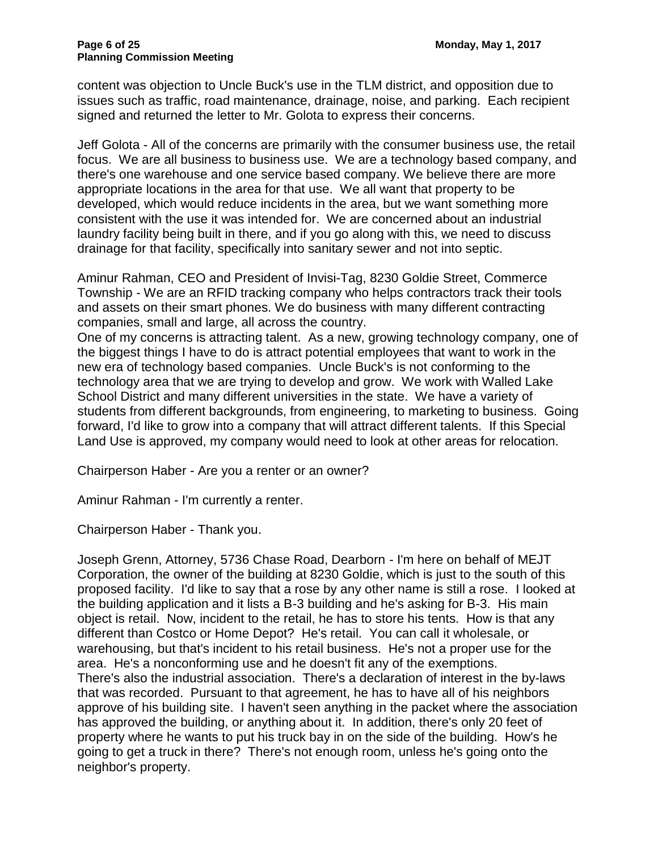content was objection to Uncle Buck's use in the TLM district, and opposition due to issues such as traffic, road maintenance, drainage, noise, and parking. Each recipient signed and returned the letter to Mr. Golota to express their concerns.

Jeff Golota - All of the concerns are primarily with the consumer business use, the retail focus. We are all business to business use. We are a technology based company, and there's one warehouse and one service based company. We believe there are more appropriate locations in the area for that use. We all want that property to be developed, which would reduce incidents in the area, but we want something more consistent with the use it was intended for. We are concerned about an industrial laundry facility being built in there, and if you go along with this, we need to discuss drainage for that facility, specifically into sanitary sewer and not into septic.

Aminur Rahman, CEO and President of Invisi-Tag, 8230 Goldie Street, Commerce Township - We are an RFID tracking company who helps contractors track their tools and assets on their smart phones. We do business with many different contracting companies, small and large, all across the country.

One of my concerns is attracting talent. As a new, growing technology company, one of the biggest things I have to do is attract potential employees that want to work in the new era of technology based companies. Uncle Buck's is not conforming to the technology area that we are trying to develop and grow. We work with Walled Lake School District and many different universities in the state. We have a variety of students from different backgrounds, from engineering, to marketing to business. Going forward, I'd like to grow into a company that will attract different talents. If this Special Land Use is approved, my company would need to look at other areas for relocation.

Chairperson Haber - Are you a renter or an owner?

Aminur Rahman - I'm currently a renter.

Chairperson Haber - Thank you.

Joseph Grenn, Attorney, 5736 Chase Road, Dearborn - I'm here on behalf of MEJT Corporation, the owner of the building at 8230 Goldie, which is just to the south of this proposed facility. I'd like to say that a rose by any other name is still a rose. I looked at the building application and it lists a B-3 building and he's asking for B-3. His main object is retail. Now, incident to the retail, he has to store his tents. How is that any different than Costco or Home Depot? He's retail. You can call it wholesale, or warehousing, but that's incident to his retail business. He's not a proper use for the area. He's a nonconforming use and he doesn't fit any of the exemptions. There's also the industrial association. There's a declaration of interest in the by-laws that was recorded. Pursuant to that agreement, he has to have all of his neighbors approve of his building site. I haven't seen anything in the packet where the association has approved the building, or anything about it. In addition, there's only 20 feet of property where he wants to put his truck bay in on the side of the building. How's he going to get a truck in there? There's not enough room, unless he's going onto the neighbor's property.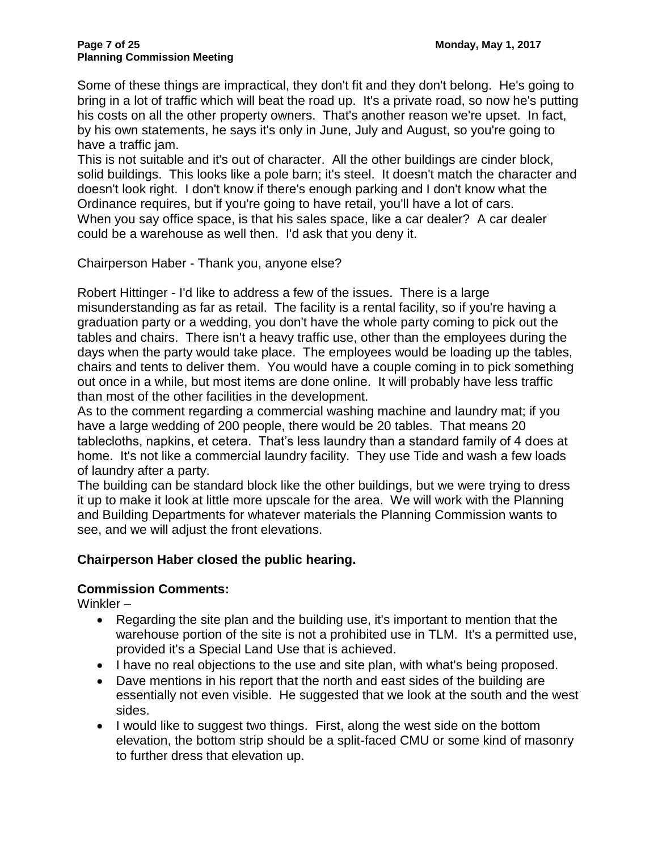Some of these things are impractical, they don't fit and they don't belong. He's going to bring in a lot of traffic which will beat the road up. It's a private road, so now he's putting his costs on all the other property owners. That's another reason we're upset. In fact, by his own statements, he says it's only in June, July and August, so you're going to have a traffic jam.

This is not suitable and it's out of character. All the other buildings are cinder block, solid buildings. This looks like a pole barn; it's steel. It doesn't match the character and doesn't look right. I don't know if there's enough parking and I don't know what the Ordinance requires, but if you're going to have retail, you'll have a lot of cars. When you say office space, is that his sales space, like a car dealer? A car dealer could be a warehouse as well then. I'd ask that you deny it.

Chairperson Haber - Thank you, anyone else?

Robert Hittinger - I'd like to address a few of the issues. There is a large misunderstanding as far as retail. The facility is a rental facility, so if you're having a graduation party or a wedding, you don't have the whole party coming to pick out the tables and chairs. There isn't a heavy traffic use, other than the employees during the days when the party would take place. The employees would be loading up the tables, chairs and tents to deliver them. You would have a couple coming in to pick something out once in a while, but most items are done online. It will probably have less traffic than most of the other facilities in the development.

As to the comment regarding a commercial washing machine and laundry mat; if you have a large wedding of 200 people, there would be 20 tables. That means 20 tablecloths, napkins, et cetera. That's less laundry than a standard family of 4 does at home. It's not like a commercial laundry facility. They use Tide and wash a few loads of laundry after a party.

The building can be standard block like the other buildings, but we were trying to dress it up to make it look at little more upscale for the area. We will work with the Planning and Building Departments for whatever materials the Planning Commission wants to see, and we will adjust the front elevations.

### **Chairperson Haber closed the public hearing.**

### **Commission Comments:**

Winkler –

- Regarding the site plan and the building use, it's important to mention that the warehouse portion of the site is not a prohibited use in TLM. It's a permitted use, provided it's a Special Land Use that is achieved.
- I have no real objections to the use and site plan, with what's being proposed.
- Dave mentions in his report that the north and east sides of the building are essentially not even visible. He suggested that we look at the south and the west sides.
- I would like to suggest two things. First, along the west side on the bottom elevation, the bottom strip should be a split-faced CMU or some kind of masonry to further dress that elevation up.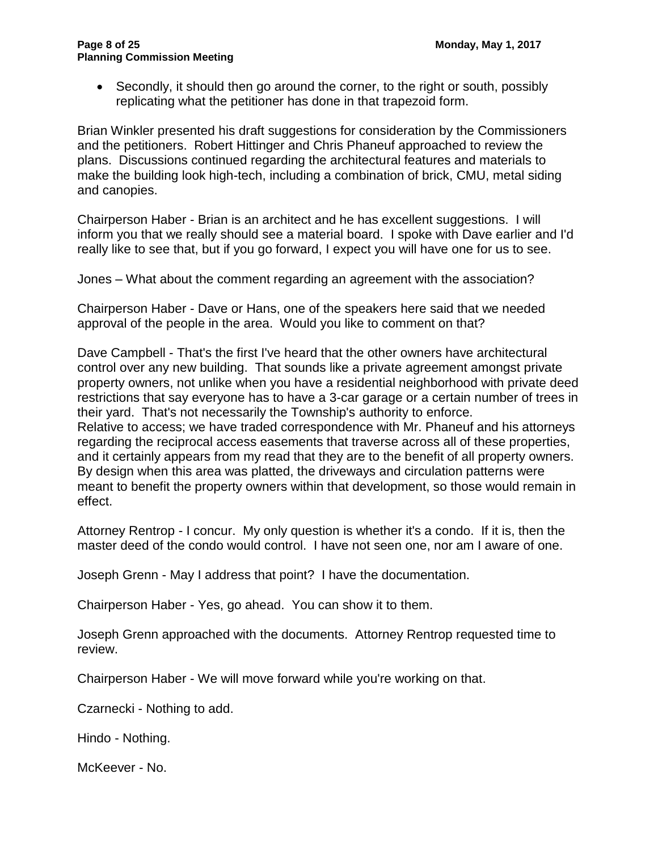Secondly, it should then go around the corner, to the right or south, possibly replicating what the petitioner has done in that trapezoid form.

Brian Winkler presented his draft suggestions for consideration by the Commissioners and the petitioners. Robert Hittinger and Chris Phaneuf approached to review the plans. Discussions continued regarding the architectural features and materials to make the building look high-tech, including a combination of brick, CMU, metal siding and canopies.

Chairperson Haber - Brian is an architect and he has excellent suggestions. I will inform you that we really should see a material board. I spoke with Dave earlier and I'd really like to see that, but if you go forward, I expect you will have one for us to see.

Jones – What about the comment regarding an agreement with the association?

Chairperson Haber - Dave or Hans, one of the speakers here said that we needed approval of the people in the area. Would you like to comment on that?

Dave Campbell - That's the first I've heard that the other owners have architectural control over any new building. That sounds like a private agreement amongst private property owners, not unlike when you have a residential neighborhood with private deed restrictions that say everyone has to have a 3-car garage or a certain number of trees in their yard. That's not necessarily the Township's authority to enforce. Relative to access; we have traded correspondence with Mr. Phaneuf and his attorneys regarding the reciprocal access easements that traverse across all of these properties, and it certainly appears from my read that they are to the benefit of all property owners. By design when this area was platted, the driveways and circulation patterns were meant to benefit the property owners within that development, so those would remain in effect.

Attorney Rentrop - I concur. My only question is whether it's a condo. If it is, then the master deed of the condo would control. I have not seen one, nor am I aware of one.

Joseph Grenn - May I address that point? I have the documentation.

Chairperson Haber - Yes, go ahead. You can show it to them.

Joseph Grenn approached with the documents. Attorney Rentrop requested time to review.

Chairperson Haber - We will move forward while you're working on that.

Czarnecki - Nothing to add.

Hindo - Nothing.

McKeever - No.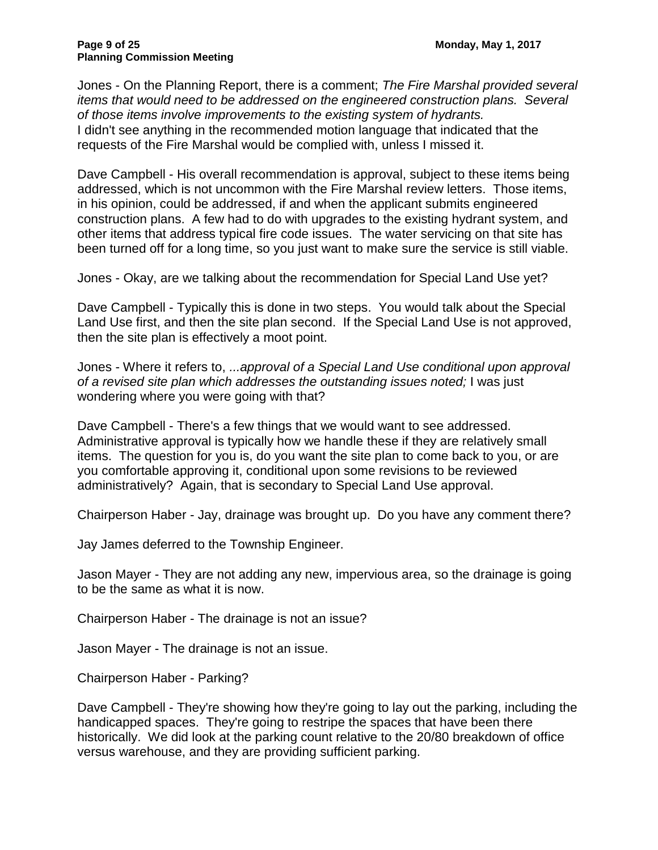Jones - On the Planning Report, there is a comment; *The Fire Marshal provided several items that would need to be addressed on the engineered construction plans. Several of those items involve improvements to the existing system of hydrants.* I didn't see anything in the recommended motion language that indicated that the requests of the Fire Marshal would be complied with, unless I missed it.

Dave Campbell - His overall recommendation is approval, subject to these items being addressed, which is not uncommon with the Fire Marshal review letters. Those items, in his opinion, could be addressed, if and when the applicant submits engineered construction plans. A few had to do with upgrades to the existing hydrant system, and other items that address typical fire code issues. The water servicing on that site has been turned off for a long time, so you just want to make sure the service is still viable.

Jones - Okay, are we talking about the recommendation for Special Land Use yet?

Dave Campbell - Typically this is done in two steps. You would talk about the Special Land Use first, and then the site plan second. If the Special Land Use is not approved, then the site plan is effectively a moot point.

Jones - Where it refers to, *...approval of a Special Land Use conditional upon approval of a revised site plan which addresses the outstanding issues noted;* I was just wondering where you were going with that?

Dave Campbell - There's a few things that we would want to see addressed. Administrative approval is typically how we handle these if they are relatively small items. The question for you is, do you want the site plan to come back to you, or are you comfortable approving it, conditional upon some revisions to be reviewed administratively? Again, that is secondary to Special Land Use approval.

Chairperson Haber - Jay, drainage was brought up. Do you have any comment there?

Jay James deferred to the Township Engineer.

Jason Mayer - They are not adding any new, impervious area, so the drainage is going to be the same as what it is now.

Chairperson Haber - The drainage is not an issue?

Jason Mayer - The drainage is not an issue.

Chairperson Haber - Parking?

Dave Campbell - They're showing how they're going to lay out the parking, including the handicapped spaces. They're going to restripe the spaces that have been there historically. We did look at the parking count relative to the 20/80 breakdown of office versus warehouse, and they are providing sufficient parking.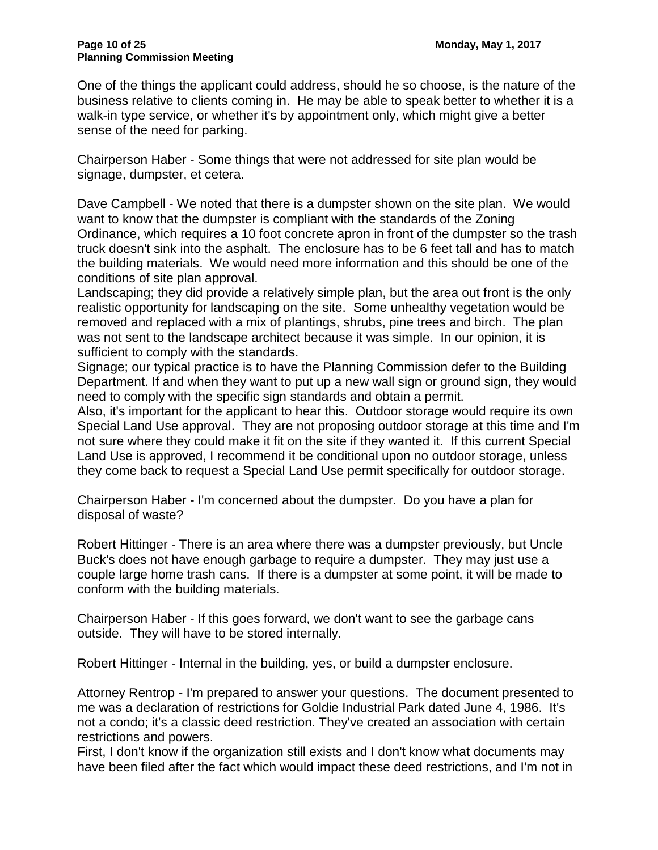One of the things the applicant could address, should he so choose, is the nature of the business relative to clients coming in. He may be able to speak better to whether it is a walk-in type service, or whether it's by appointment only, which might give a better sense of the need for parking.

Chairperson Haber - Some things that were not addressed for site plan would be signage, dumpster, et cetera.

Dave Campbell - We noted that there is a dumpster shown on the site plan. We would want to know that the dumpster is compliant with the standards of the Zoning Ordinance, which requires a 10 foot concrete apron in front of the dumpster so the trash truck doesn't sink into the asphalt. The enclosure has to be 6 feet tall and has to match the building materials. We would need more information and this should be one of the conditions of site plan approval.

Landscaping; they did provide a relatively simple plan, but the area out front is the only realistic opportunity for landscaping on the site. Some unhealthy vegetation would be removed and replaced with a mix of plantings, shrubs, pine trees and birch. The plan was not sent to the landscape architect because it was simple. In our opinion, it is sufficient to comply with the standards.

Signage; our typical practice is to have the Planning Commission defer to the Building Department. If and when they want to put up a new wall sign or ground sign, they would need to comply with the specific sign standards and obtain a permit.

Also, it's important for the applicant to hear this. Outdoor storage would require its own Special Land Use approval. They are not proposing outdoor storage at this time and I'm not sure where they could make it fit on the site if they wanted it. If this current Special Land Use is approved, I recommend it be conditional upon no outdoor storage, unless they come back to request a Special Land Use permit specifically for outdoor storage.

Chairperson Haber - I'm concerned about the dumpster. Do you have a plan for disposal of waste?

Robert Hittinger - There is an area where there was a dumpster previously, but Uncle Buck's does not have enough garbage to require a dumpster. They may just use a couple large home trash cans. If there is a dumpster at some point, it will be made to conform with the building materials.

Chairperson Haber - If this goes forward, we don't want to see the garbage cans outside. They will have to be stored internally.

Robert Hittinger - Internal in the building, yes, or build a dumpster enclosure.

Attorney Rentrop - I'm prepared to answer your questions. The document presented to me was a declaration of restrictions for Goldie Industrial Park dated June 4, 1986. It's not a condo; it's a classic deed restriction. They've created an association with certain restrictions and powers.

First, I don't know if the organization still exists and I don't know what documents may have been filed after the fact which would impact these deed restrictions, and I'm not in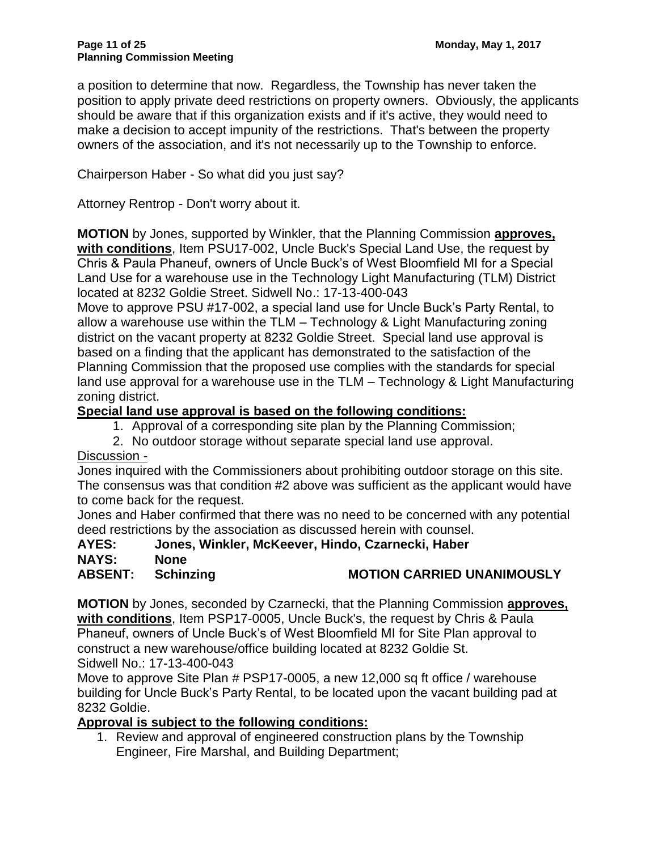a position to determine that now. Regardless, the Township has never taken the position to apply private deed restrictions on property owners. Obviously, the applicants should be aware that if this organization exists and if it's active, they would need to make a decision to accept impunity of the restrictions. That's between the property owners of the association, and it's not necessarily up to the Township to enforce.

Chairperson Haber - So what did you just say?

Attorney Rentrop - Don't worry about it.

**MOTION** by Jones, supported by Winkler, that the Planning Commission **approves, with conditions**, Item PSU17-002, Uncle Buck's Special Land Use, the request by Chris & Paula Phaneuf, owners of Uncle Buck's of West Bloomfield MI for a Special Land Use for a warehouse use in the Technology Light Manufacturing (TLM) District located at 8232 Goldie Street. Sidwell No.: 17-13-400-043

Move to approve PSU #17-002, a special land use for Uncle Buck's Party Rental, to allow a warehouse use within the TLM – Technology & Light Manufacturing zoning district on the vacant property at 8232 Goldie Street. Special land use approval is based on a finding that the applicant has demonstrated to the satisfaction of the Planning Commission that the proposed use complies with the standards for special land use approval for a warehouse use in the TLM – Technology & Light Manufacturing zoning district.

#### **Special land use approval is based on the following conditions:**

- 1. Approval of a corresponding site plan by the Planning Commission;
- 2. No outdoor storage without separate special land use approval.

#### Discussion -

Jones inquired with the Commissioners about prohibiting outdoor storage on this site. The consensus was that condition #2 above was sufficient as the applicant would have to come back for the request.

Jones and Haber confirmed that there was no need to be concerned with any potential deed restrictions by the association as discussed herein with counsel.

### **AYES: Jones, Winkler, McKeever, Hindo, Czarnecki, Haber**

- **NAYS: None**
- **ABSENT: Schinzing MOTION CARRIED UNANIMOUSLY**

**MOTION** by Jones, seconded by Czarnecki, that the Planning Commission **approves, with conditions**, Item PSP17-0005, Uncle Buck's, the request by Chris & Paula Phaneuf, owners of Uncle Buck's of West Bloomfield MI for Site Plan approval to construct a new warehouse/office building located at 8232 Goldie St. Sidwell No.: 17-13-400-043

Move to approve Site Plan # PSP17-0005, a new 12,000 sq ft office / warehouse building for Uncle Buck's Party Rental, to be located upon the vacant building pad at 8232 Goldie.

### **Approval is subject to the following conditions:**

1. Review and approval of engineered construction plans by the Township Engineer, Fire Marshal, and Building Department;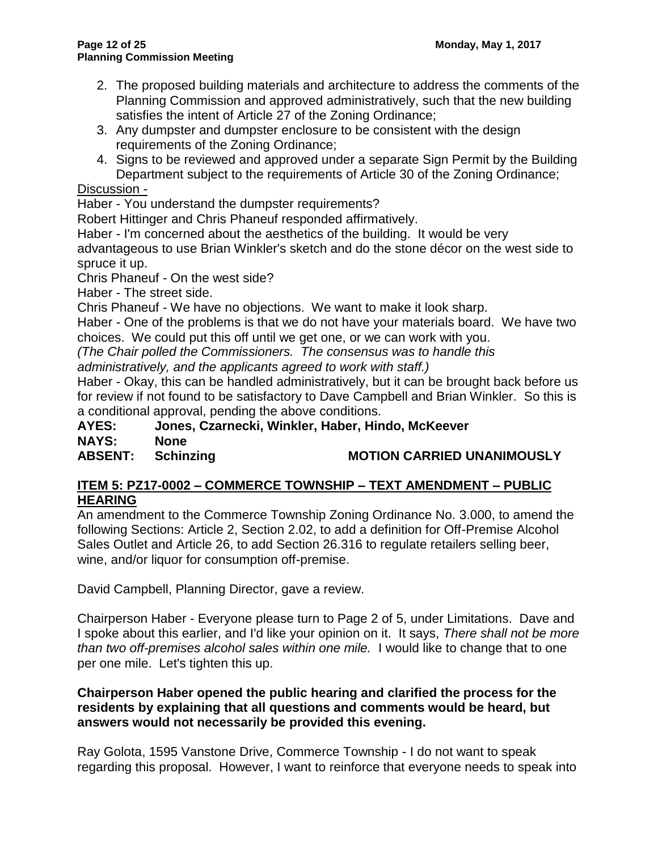- 2. The proposed building materials and architecture to address the comments of the Planning Commission and approved administratively, such that the new building satisfies the intent of Article 27 of the Zoning Ordinance;
- 3. Any dumpster and dumpster enclosure to be consistent with the design requirements of the Zoning Ordinance;
- 4. Signs to be reviewed and approved under a separate Sign Permit by the Building Department subject to the requirements of Article 30 of the Zoning Ordinance;

Discussion -

Haber - You understand the dumpster requirements?

Robert Hittinger and Chris Phaneuf responded affirmatively.

Haber - I'm concerned about the aesthetics of the building. It would be very

advantageous to use Brian Winkler's sketch and do the stone décor on the west side to spruce it up.

Chris Phaneuf - On the west side?

Haber - The street side.

Chris Phaneuf - We have no objections. We want to make it look sharp.

Haber - One of the problems is that we do not have your materials board. We have two choices. We could put this off until we get one, or we can work with you.

*(The Chair polled the Commissioners. The consensus was to handle this* 

*administratively, and the applicants agreed to work with staff.)*

Haber - Okay, this can be handled administratively, but it can be brought back before us for review if not found to be satisfactory to Dave Campbell and Brian Winkler. So this is a conditional approval, pending the above conditions.

**AYES: Jones, Czarnecki, Winkler, Haber, Hindo, McKeever NAYS: None**

# **ABSENT: Schinzing MOTION CARRIED UNANIMOUSLY**

# **ITEM 5: PZ17-0002 – COMMERCE TOWNSHIP – TEXT AMENDMENT – PUBLIC HEARING**

An amendment to the Commerce Township Zoning Ordinance No. 3.000, to amend the following Sections: Article 2, Section 2.02, to add a definition for Off-Premise Alcohol Sales Outlet and Article 26, to add Section 26.316 to regulate retailers selling beer, wine, and/or liquor for consumption off-premise.

David Campbell, Planning Director, gave a review.

Chairperson Haber - Everyone please turn to Page 2 of 5, under Limitations. Dave and I spoke about this earlier, and I'd like your opinion on it. It says, *There shall not be more than two off-premises alcohol sales within one mile.* I would like to change that to one per one mile. Let's tighten this up.

### **Chairperson Haber opened the public hearing and clarified the process for the residents by explaining that all questions and comments would be heard, but answers would not necessarily be provided this evening.**

Ray Golota, 1595 Vanstone Drive, Commerce Township - I do not want to speak regarding this proposal. However, I want to reinforce that everyone needs to speak into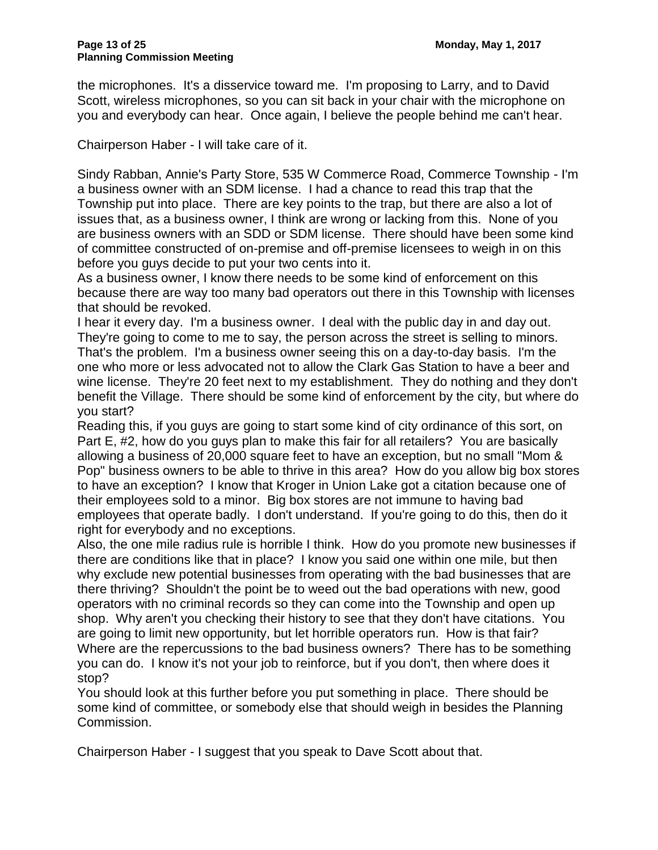the microphones. It's a disservice toward me. I'm proposing to Larry, and to David Scott, wireless microphones, so you can sit back in your chair with the microphone on you and everybody can hear. Once again, I believe the people behind me can't hear.

Chairperson Haber - I will take care of it.

Sindy Rabban, Annie's Party Store, 535 W Commerce Road, Commerce Township - I'm a business owner with an SDM license. I had a chance to read this trap that the Township put into place. There are key points to the trap, but there are also a lot of issues that, as a business owner, I think are wrong or lacking from this. None of you are business owners with an SDD or SDM license. There should have been some kind of committee constructed of on-premise and off-premise licensees to weigh in on this before you guys decide to put your two cents into it.

As a business owner, I know there needs to be some kind of enforcement on this because there are way too many bad operators out there in this Township with licenses that should be revoked.

I hear it every day. I'm a business owner. I deal with the public day in and day out. They're going to come to me to say, the person across the street is selling to minors. That's the problem. I'm a business owner seeing this on a day-to-day basis. I'm the one who more or less advocated not to allow the Clark Gas Station to have a beer and wine license. They're 20 feet next to my establishment. They do nothing and they don't benefit the Village. There should be some kind of enforcement by the city, but where do you start?

Reading this, if you guys are going to start some kind of city ordinance of this sort, on Part E, #2, how do you guys plan to make this fair for all retailers? You are basically allowing a business of 20,000 square feet to have an exception, but no small "Mom & Pop" business owners to be able to thrive in this area? How do you allow big box stores to have an exception? I know that Kroger in Union Lake got a citation because one of their employees sold to a minor. Big box stores are not immune to having bad employees that operate badly. I don't understand. If you're going to do this, then do it right for everybody and no exceptions.

Also, the one mile radius rule is horrible I think. How do you promote new businesses if there are conditions like that in place? I know you said one within one mile, but then why exclude new potential businesses from operating with the bad businesses that are there thriving? Shouldn't the point be to weed out the bad operations with new, good operators with no criminal records so they can come into the Township and open up shop. Why aren't you checking their history to see that they don't have citations. You are going to limit new opportunity, but let horrible operators run. How is that fair? Where are the repercussions to the bad business owners? There has to be something you can do. I know it's not your job to reinforce, but if you don't, then where does it stop?

You should look at this further before you put something in place. There should be some kind of committee, or somebody else that should weigh in besides the Planning Commission.

Chairperson Haber - I suggest that you speak to Dave Scott about that.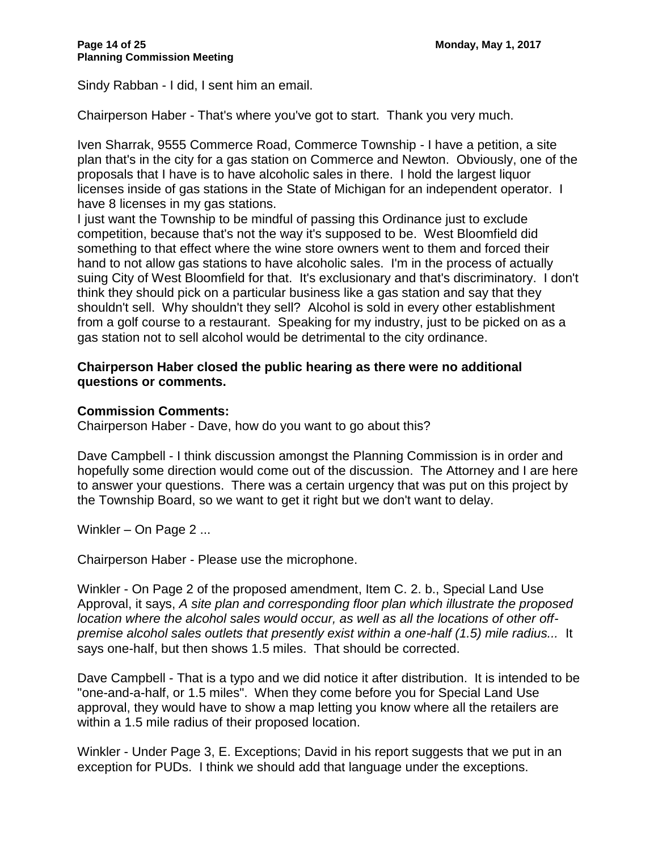Sindy Rabban - I did, I sent him an email.

Chairperson Haber - That's where you've got to start. Thank you very much.

Iven Sharrak, 9555 Commerce Road, Commerce Township - I have a petition, a site plan that's in the city for a gas station on Commerce and Newton. Obviously, one of the proposals that I have is to have alcoholic sales in there. I hold the largest liquor licenses inside of gas stations in the State of Michigan for an independent operator. I have 8 licenses in my gas stations.

I just want the Township to be mindful of passing this Ordinance just to exclude competition, because that's not the way it's supposed to be. West Bloomfield did something to that effect where the wine store owners went to them and forced their hand to not allow gas stations to have alcoholic sales. I'm in the process of actually suing City of West Bloomfield for that. It's exclusionary and that's discriminatory. I don't think they should pick on a particular business like a gas station and say that they shouldn't sell. Why shouldn't they sell? Alcohol is sold in every other establishment from a golf course to a restaurant. Speaking for my industry, just to be picked on as a gas station not to sell alcohol would be detrimental to the city ordinance.

#### **Chairperson Haber closed the public hearing as there were no additional questions or comments.**

#### **Commission Comments:**

Chairperson Haber - Dave, how do you want to go about this?

Dave Campbell - I think discussion amongst the Planning Commission is in order and hopefully some direction would come out of the discussion. The Attorney and I are here to answer your questions. There was a certain urgency that was put on this project by the Township Board, so we want to get it right but we don't want to delay.

Winkler – On Page 2 ...

Chairperson Haber - Please use the microphone.

Winkler - On Page 2 of the proposed amendment, Item C. 2. b., Special Land Use Approval, it says, *A site plan and corresponding floor plan which illustrate the proposed location where the alcohol sales would occur, as well as all the locations of other offpremise alcohol sales outlets that presently exist within a one-half (1.5) mile radius...* It says one-half, but then shows 1.5 miles. That should be corrected.

Dave Campbell - That is a typo and we did notice it after distribution. It is intended to be "one-and-a-half, or 1.5 miles". When they come before you for Special Land Use approval, they would have to show a map letting you know where all the retailers are within a 1.5 mile radius of their proposed location.

Winkler - Under Page 3, E. Exceptions; David in his report suggests that we put in an exception for PUDs. I think we should add that language under the exceptions.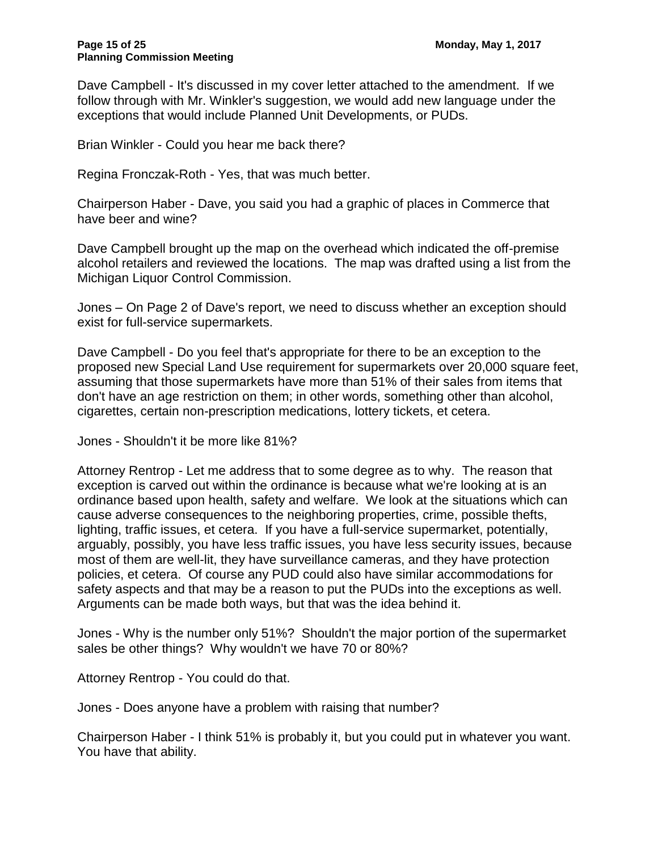Dave Campbell - It's discussed in my cover letter attached to the amendment. If we follow through with Mr. Winkler's suggestion, we would add new language under the exceptions that would include Planned Unit Developments, or PUDs.

Brian Winkler - Could you hear me back there?

Regina Fronczak-Roth - Yes, that was much better.

Chairperson Haber - Dave, you said you had a graphic of places in Commerce that have beer and wine?

Dave Campbell brought up the map on the overhead which indicated the off-premise alcohol retailers and reviewed the locations. The map was drafted using a list from the Michigan Liquor Control Commission.

Jones – On Page 2 of Dave's report, we need to discuss whether an exception should exist for full-service supermarkets.

Dave Campbell - Do you feel that's appropriate for there to be an exception to the proposed new Special Land Use requirement for supermarkets over 20,000 square feet, assuming that those supermarkets have more than 51% of their sales from items that don't have an age restriction on them; in other words, something other than alcohol, cigarettes, certain non-prescription medications, lottery tickets, et cetera.

Jones - Shouldn't it be more like 81%?

Attorney Rentrop - Let me address that to some degree as to why. The reason that exception is carved out within the ordinance is because what we're looking at is an ordinance based upon health, safety and welfare. We look at the situations which can cause adverse consequences to the neighboring properties, crime, possible thefts, lighting, traffic issues, et cetera. If you have a full-service supermarket, potentially, arguably, possibly, you have less traffic issues, you have less security issues, because most of them are well-lit, they have surveillance cameras, and they have protection policies, et cetera. Of course any PUD could also have similar accommodations for safety aspects and that may be a reason to put the PUDs into the exceptions as well. Arguments can be made both ways, but that was the idea behind it.

Jones - Why is the number only 51%? Shouldn't the major portion of the supermarket sales be other things? Why wouldn't we have 70 or 80%?

Attorney Rentrop - You could do that.

Jones - Does anyone have a problem with raising that number?

Chairperson Haber - I think 51% is probably it, but you could put in whatever you want. You have that ability.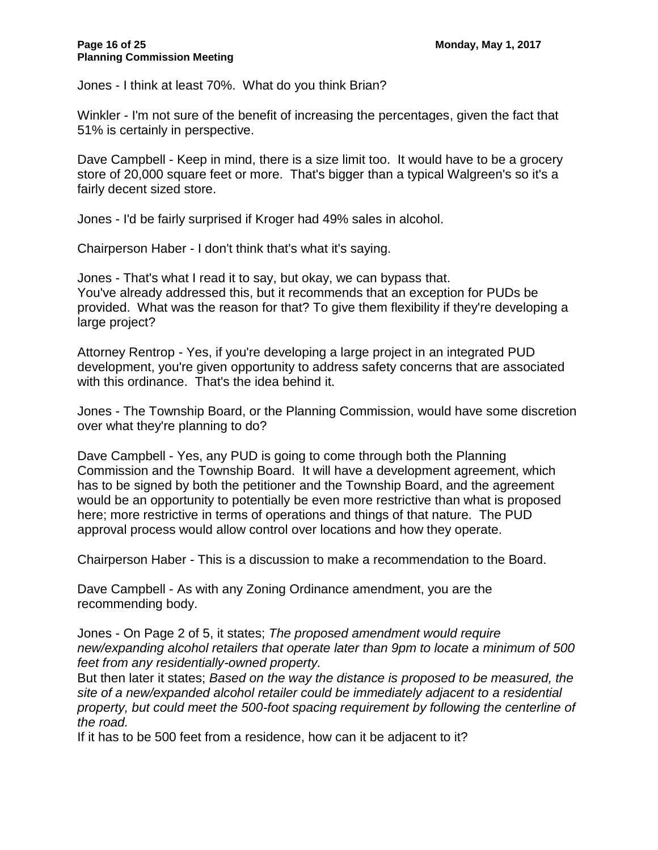Jones - I think at least 70%. What do you think Brian?

Winkler - I'm not sure of the benefit of increasing the percentages, given the fact that 51% is certainly in perspective.

Dave Campbell - Keep in mind, there is a size limit too. It would have to be a grocery store of 20,000 square feet or more. That's bigger than a typical Walgreen's so it's a fairly decent sized store.

Jones - I'd be fairly surprised if Kroger had 49% sales in alcohol.

Chairperson Haber - I don't think that's what it's saying.

Jones - That's what I read it to say, but okay, we can bypass that. You've already addressed this, but it recommends that an exception for PUDs be provided. What was the reason for that? To give them flexibility if they're developing a large project?

Attorney Rentrop - Yes, if you're developing a large project in an integrated PUD development, you're given opportunity to address safety concerns that are associated with this ordinance. That's the idea behind it.

Jones - The Township Board, or the Planning Commission, would have some discretion over what they're planning to do?

Dave Campbell - Yes, any PUD is going to come through both the Planning Commission and the Township Board. It will have a development agreement, which has to be signed by both the petitioner and the Township Board, and the agreement would be an opportunity to potentially be even more restrictive than what is proposed here; more restrictive in terms of operations and things of that nature. The PUD approval process would allow control over locations and how they operate.

Chairperson Haber - This is a discussion to make a recommendation to the Board.

Dave Campbell - As with any Zoning Ordinance amendment, you are the recommending body.

Jones - On Page 2 of 5, it states; *The proposed amendment would require new/expanding alcohol retailers that operate later than 9pm to locate a minimum of 500 feet from any residentially-owned property.*

But then later it states; *Based on the way the distance is proposed to be measured, the site of a new/expanded alcohol retailer could be immediately adjacent to a residential property, but could meet the 500-foot spacing requirement by following the centerline of the road.*

If it has to be 500 feet from a residence, how can it be adjacent to it?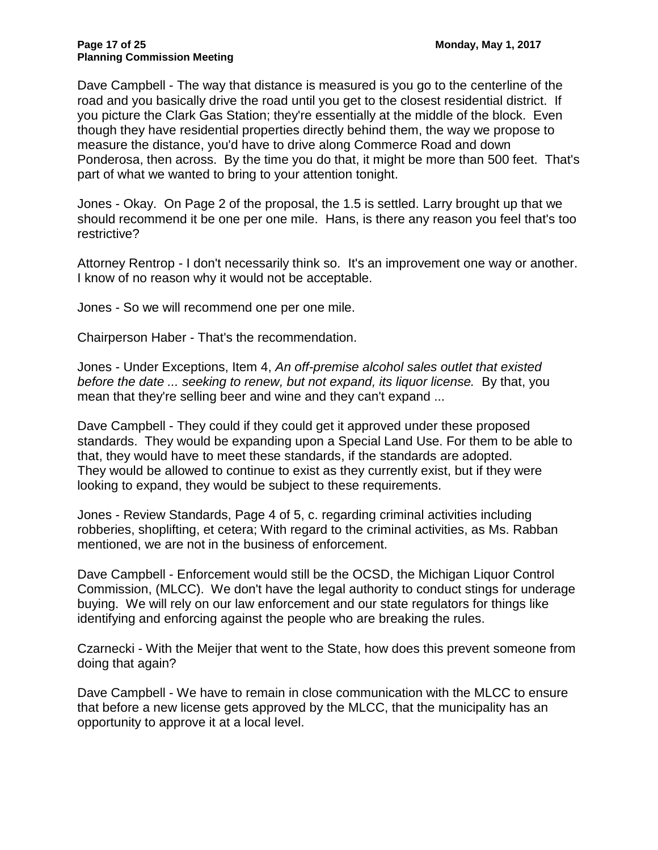Dave Campbell - The way that distance is measured is you go to the centerline of the road and you basically drive the road until you get to the closest residential district. If you picture the Clark Gas Station; they're essentially at the middle of the block. Even though they have residential properties directly behind them, the way we propose to measure the distance, you'd have to drive along Commerce Road and down Ponderosa, then across. By the time you do that, it might be more than 500 feet. That's part of what we wanted to bring to your attention tonight.

Jones - Okay. On Page 2 of the proposal, the 1.5 is settled. Larry brought up that we should recommend it be one per one mile. Hans, is there any reason you feel that's too restrictive?

Attorney Rentrop - I don't necessarily think so. It's an improvement one way or another. I know of no reason why it would not be acceptable.

Jones - So we will recommend one per one mile.

Chairperson Haber - That's the recommendation.

Jones - Under Exceptions, Item 4, *An off-premise alcohol sales outlet that existed before the date ... seeking to renew, but not expand, its liquor license.* By that, you mean that they're selling beer and wine and they can't expand ...

Dave Campbell - They could if they could get it approved under these proposed standards. They would be expanding upon a Special Land Use. For them to be able to that, they would have to meet these standards, if the standards are adopted. They would be allowed to continue to exist as they currently exist, but if they were looking to expand, they would be subject to these requirements.

Jones - Review Standards, Page 4 of 5, c. regarding criminal activities including robberies, shoplifting, et cetera; With regard to the criminal activities, as Ms. Rabban mentioned, we are not in the business of enforcement.

Dave Campbell - Enforcement would still be the OCSD, the Michigan Liquor Control Commission, (MLCC). We don't have the legal authority to conduct stings for underage buying. We will rely on our law enforcement and our state regulators for things like identifying and enforcing against the people who are breaking the rules.

Czarnecki - With the Meijer that went to the State, how does this prevent someone from doing that again?

Dave Campbell - We have to remain in close communication with the MLCC to ensure that before a new license gets approved by the MLCC, that the municipality has an opportunity to approve it at a local level.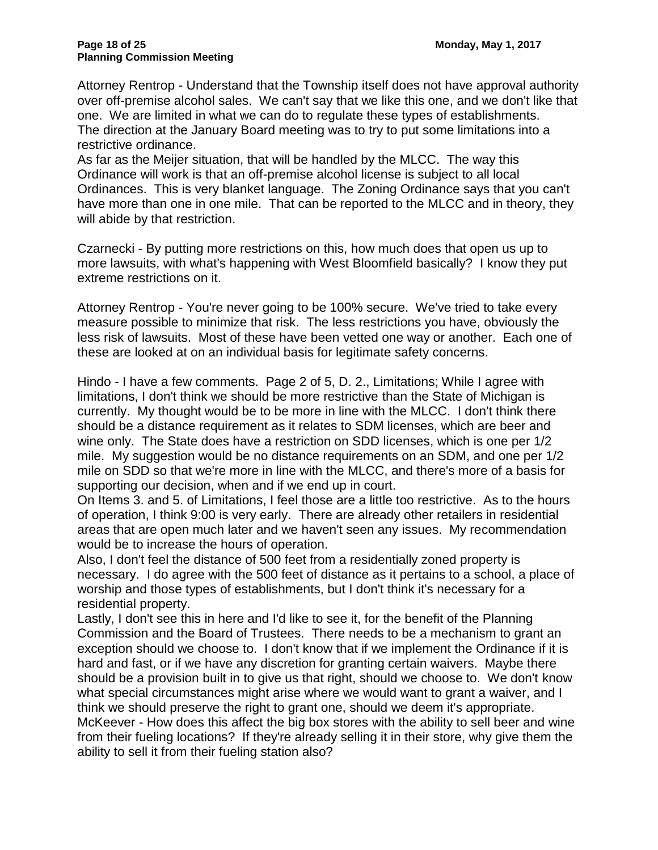Attorney Rentrop - Understand that the Township itself does not have approval authority over off-premise alcohol sales. We can't say that we like this one, and we don't like that one. We are limited in what we can do to regulate these types of establishments. The direction at the January Board meeting was to try to put some limitations into a restrictive ordinance.

As far as the Meijer situation, that will be handled by the MLCC. The way this Ordinance will work is that an off-premise alcohol license is subject to all local Ordinances. This is very blanket language. The Zoning Ordinance says that you can't have more than one in one mile. That can be reported to the MLCC and in theory, they will abide by that restriction.

Czarnecki - By putting more restrictions on this, how much does that open us up to more lawsuits, with what's happening with West Bloomfield basically? I know they put extreme restrictions on it.

Attorney Rentrop - You're never going to be 100% secure. We've tried to take every measure possible to minimize that risk. The less restrictions you have, obviously the less risk of lawsuits. Most of these have been vetted one way or another. Each one of these are looked at on an individual basis for legitimate safety concerns.

Hindo - I have a few comments. Page 2 of 5, D. 2., Limitations; While I agree with limitations, I don't think we should be more restrictive than the State of Michigan is currently. My thought would be to be more in line with the MLCC. I don't think there should be a distance requirement as it relates to SDM licenses, which are beer and wine only. The State does have a restriction on SDD licenses, which is one per 1/2 mile. My suggestion would be no distance requirements on an SDM, and one per 1/2 mile on SDD so that we're more in line with the MLCC, and there's more of a basis for supporting our decision, when and if we end up in court.

On Items 3. and 5. of Limitations, I feel those are a little too restrictive. As to the hours of operation, I think 9:00 is very early. There are already other retailers in residential areas that are open much later and we haven't seen any issues. My recommendation would be to increase the hours of operation.

Also, I don't feel the distance of 500 feet from a residentially zoned property is necessary. I do agree with the 500 feet of distance as it pertains to a school, a place of worship and those types of establishments, but I don't think it's necessary for a residential property.

Lastly, I don't see this in here and I'd like to see it, for the benefit of the Planning Commission and the Board of Trustees. There needs to be a mechanism to grant an exception should we choose to. I don't know that if we implement the Ordinance if it is hard and fast, or if we have any discretion for granting certain waivers. Maybe there should be a provision built in to give us that right, should we choose to. We don't know what special circumstances might arise where we would want to grant a waiver, and I think we should preserve the right to grant one, should we deem it's appropriate. McKeever - How does this affect the big box stores with the ability to sell beer and wine from their fueling locations? If they're already selling it in their store, why give them the ability to sell it from their fueling station also?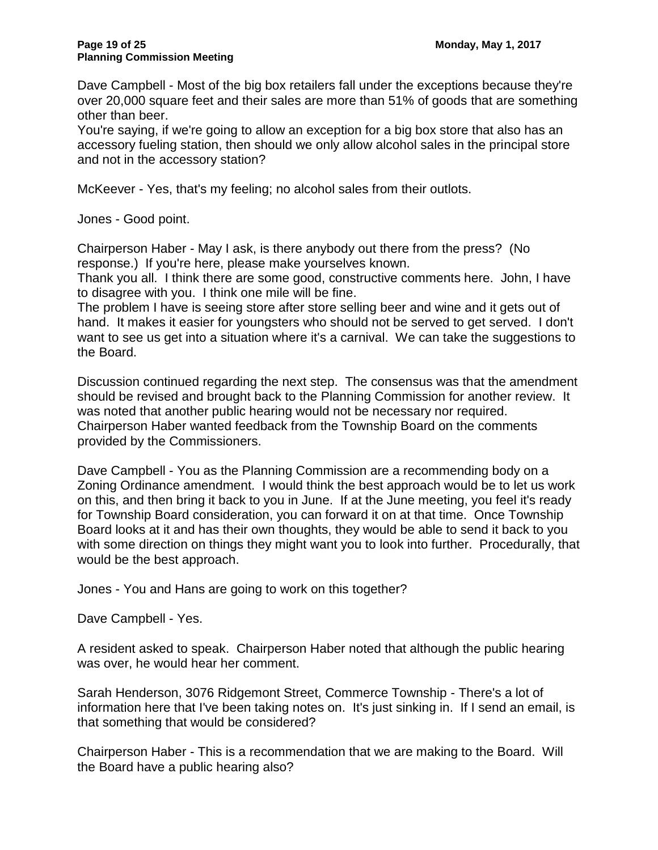Dave Campbell - Most of the big box retailers fall under the exceptions because they're over 20,000 square feet and their sales are more than 51% of goods that are something other than beer.

You're saying, if we're going to allow an exception for a big box store that also has an accessory fueling station, then should we only allow alcohol sales in the principal store and not in the accessory station?

McKeever - Yes, that's my feeling; no alcohol sales from their outlots.

Jones - Good point.

Chairperson Haber - May I ask, is there anybody out there from the press? (No response.) If you're here, please make yourselves known.

Thank you all. I think there are some good, constructive comments here. John, I have to disagree with you. I think one mile will be fine.

The problem I have is seeing store after store selling beer and wine and it gets out of hand. It makes it easier for youngsters who should not be served to get served. I don't want to see us get into a situation where it's a carnival. We can take the suggestions to the Board.

Discussion continued regarding the next step. The consensus was that the amendment should be revised and brought back to the Planning Commission for another review. It was noted that another public hearing would not be necessary nor required. Chairperson Haber wanted feedback from the Township Board on the comments provided by the Commissioners.

Dave Campbell - You as the Planning Commission are a recommending body on a Zoning Ordinance amendment. I would think the best approach would be to let us work on this, and then bring it back to you in June. If at the June meeting, you feel it's ready for Township Board consideration, you can forward it on at that time. Once Township Board looks at it and has their own thoughts, they would be able to send it back to you with some direction on things they might want you to look into further. Procedurally, that would be the best approach.

Jones - You and Hans are going to work on this together?

Dave Campbell - Yes.

A resident asked to speak. Chairperson Haber noted that although the public hearing was over, he would hear her comment.

Sarah Henderson, 3076 Ridgemont Street, Commerce Township - There's a lot of information here that I've been taking notes on. It's just sinking in. If I send an email, is that something that would be considered?

Chairperson Haber - This is a recommendation that we are making to the Board. Will the Board have a public hearing also?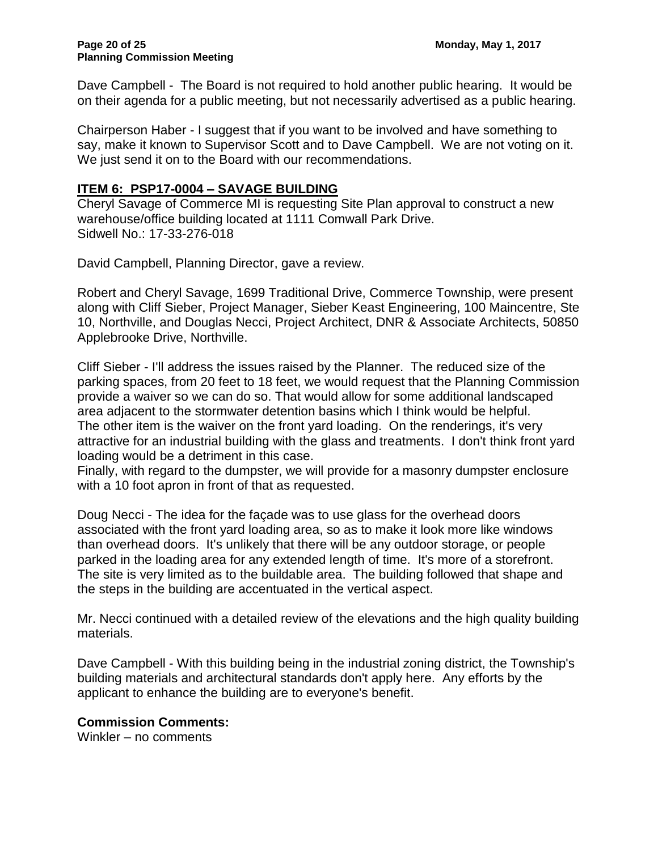Dave Campbell - The Board is not required to hold another public hearing. It would be on their agenda for a public meeting, but not necessarily advertised as a public hearing.

Chairperson Haber - I suggest that if you want to be involved and have something to say, make it known to Supervisor Scott and to Dave Campbell. We are not voting on it. We just send it on to the Board with our recommendations.

## **ITEM 6: PSP17-0004 – SAVAGE BUILDING**

Cheryl Savage of Commerce MI is requesting Site Plan approval to construct a new warehouse/office building located at 1111 Comwall Park Drive. Sidwell No.: 17-33-276-018

David Campbell, Planning Director, gave a review.

Robert and Cheryl Savage, 1699 Traditional Drive, Commerce Township, were present along with Cliff Sieber, Project Manager, Sieber Keast Engineering, 100 Maincentre, Ste 10, Northville, and Douglas Necci, Project Architect, DNR & Associate Architects, 50850 Applebrooke Drive, Northville.

Cliff Sieber - I'll address the issues raised by the Planner. The reduced size of the parking spaces, from 20 feet to 18 feet, we would request that the Planning Commission provide a waiver so we can do so. That would allow for some additional landscaped area adjacent to the stormwater detention basins which I think would be helpful. The other item is the waiver on the front yard loading. On the renderings, it's very attractive for an industrial building with the glass and treatments. I don't think front yard loading would be a detriment in this case.

Finally, with regard to the dumpster, we will provide for a masonry dumpster enclosure with a 10 foot apron in front of that as requested.

Doug Necci - The idea for the façade was to use glass for the overhead doors associated with the front yard loading area, so as to make it look more like windows than overhead doors. It's unlikely that there will be any outdoor storage, or people parked in the loading area for any extended length of time. It's more of a storefront. The site is very limited as to the buildable area. The building followed that shape and the steps in the building are accentuated in the vertical aspect.

Mr. Necci continued with a detailed review of the elevations and the high quality building materials.

Dave Campbell - With this building being in the industrial zoning district, the Township's building materials and architectural standards don't apply here. Any efforts by the applicant to enhance the building are to everyone's benefit.

### **Commission Comments:**

Winkler – no comments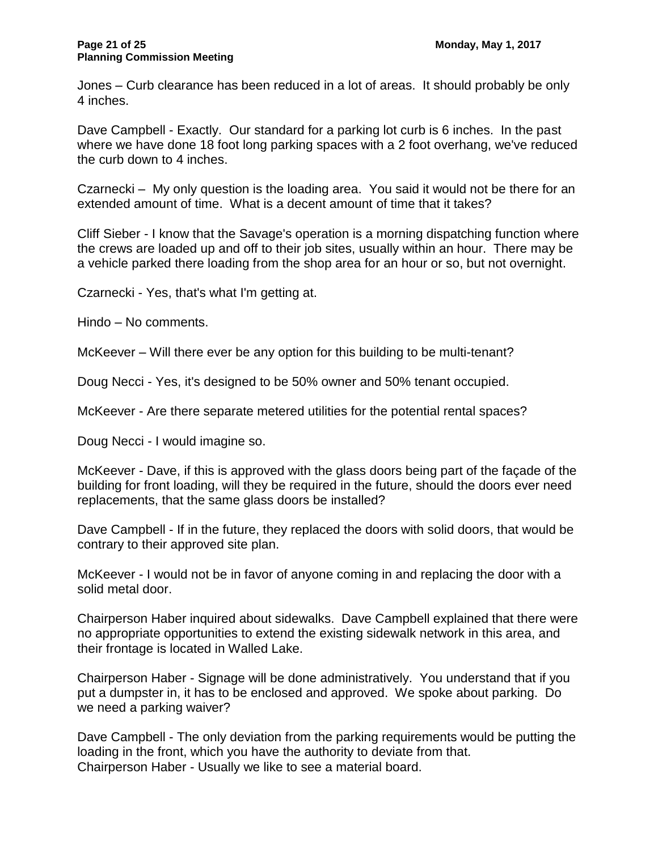Jones – Curb clearance has been reduced in a lot of areas. It should probably be only 4 inches.

Dave Campbell - Exactly. Our standard for a parking lot curb is 6 inches. In the past where we have done 18 foot long parking spaces with a 2 foot overhang, we've reduced the curb down to 4 inches.

Czarnecki – My only question is the loading area. You said it would not be there for an extended amount of time. What is a decent amount of time that it takes?

Cliff Sieber - I know that the Savage's operation is a morning dispatching function where the crews are loaded up and off to their job sites, usually within an hour. There may be a vehicle parked there loading from the shop area for an hour or so, but not overnight.

Czarnecki - Yes, that's what I'm getting at.

Hindo – No comments.

McKeever – Will there ever be any option for this building to be multi-tenant?

Doug Necci - Yes, it's designed to be 50% owner and 50% tenant occupied.

McKeever - Are there separate metered utilities for the potential rental spaces?

Doug Necci - I would imagine so.

McKeever - Dave, if this is approved with the glass doors being part of the façade of the building for front loading, will they be required in the future, should the doors ever need replacements, that the same glass doors be installed?

Dave Campbell - If in the future, they replaced the doors with solid doors, that would be contrary to their approved site plan.

McKeever - I would not be in favor of anyone coming in and replacing the door with a solid metal door.

Chairperson Haber inquired about sidewalks. Dave Campbell explained that there were no appropriate opportunities to extend the existing sidewalk network in this area, and their frontage is located in Walled Lake.

Chairperson Haber - Signage will be done administratively. You understand that if you put a dumpster in, it has to be enclosed and approved. We spoke about parking. Do we need a parking waiver?

Dave Campbell - The only deviation from the parking requirements would be putting the loading in the front, which you have the authority to deviate from that. Chairperson Haber - Usually we like to see a material board.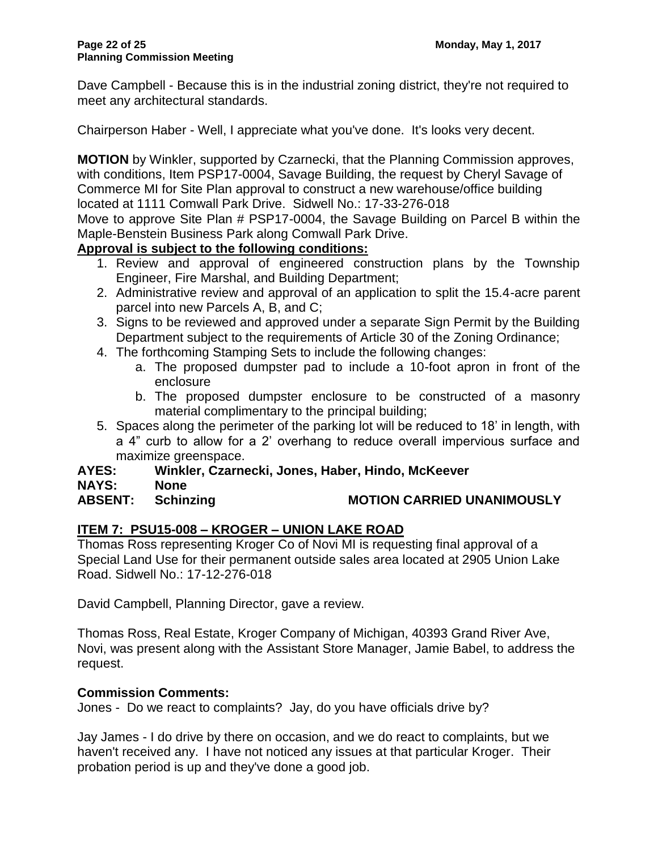Dave Campbell - Because this is in the industrial zoning district, they're not required to meet any architectural standards.

Chairperson Haber - Well, I appreciate what you've done. It's looks very decent.

**MOTION** by Winkler, supported by Czarnecki, that the Planning Commission approves, with conditions, Item PSP17-0004, Savage Building, the request by Cheryl Savage of Commerce MI for Site Plan approval to construct a new warehouse/office building located at 1111 Comwall Park Drive. Sidwell No.: 17-33-276-018

Move to approve Site Plan # PSP17-0004, the Savage Building on Parcel B within the Maple-Benstein Business Park along Comwall Park Drive.

### **Approval is subject to the following conditions:**

- 1. Review and approval of engineered construction plans by the Township Engineer, Fire Marshal, and Building Department;
- 2. Administrative review and approval of an application to split the 15.4-acre parent parcel into new Parcels A, B, and C;
- 3. Signs to be reviewed and approved under a separate Sign Permit by the Building Department subject to the requirements of Article 30 of the Zoning Ordinance;
- 4. The forthcoming Stamping Sets to include the following changes:
	- a. The proposed dumpster pad to include a 10-foot apron in front of the enclosure
	- b. The proposed dumpster enclosure to be constructed of a masonry material complimentary to the principal building;
- 5. Spaces along the perimeter of the parking lot will be reduced to 18' in length, with a 4" curb to allow for a 2' overhang to reduce overall impervious surface and maximize greenspace.

#### **AYES: Winkler, Czarnecki, Jones, Haber, Hindo, McKeever NAYS: None**

**ABSENT: Schinzing MOTION CARRIED UNANIMOUSLY**

# **ITEM 7: PSU15-008 – KROGER – UNION LAKE ROAD**

Thomas Ross representing Kroger Co of Novi MI is requesting final approval of a Special Land Use for their permanent outside sales area located at 2905 Union Lake Road. Sidwell No.: 17-12-276-018

David Campbell, Planning Director, gave a review.

Thomas Ross, Real Estate, Kroger Company of Michigan, 40393 Grand River Ave, Novi, was present along with the Assistant Store Manager, Jamie Babel, to address the request.

### **Commission Comments:**

Jones - Do we react to complaints? Jay, do you have officials drive by?

Jay James - I do drive by there on occasion, and we do react to complaints, but we haven't received any. I have not noticed any issues at that particular Kroger. Their probation period is up and they've done a good job.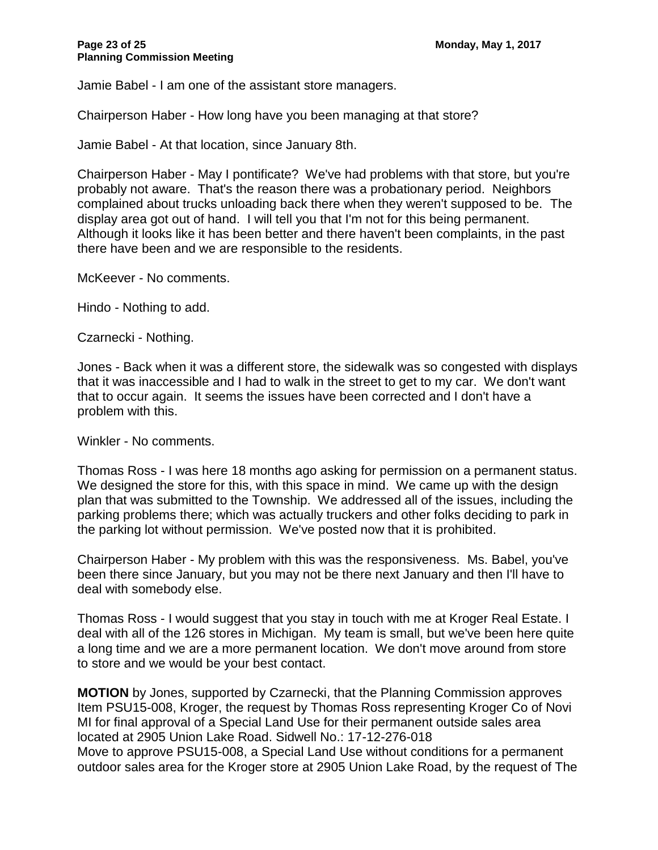Jamie Babel - I am one of the assistant store managers.

Chairperson Haber - How long have you been managing at that store?

Jamie Babel - At that location, since January 8th.

Chairperson Haber - May I pontificate? We've had problems with that store, but you're probably not aware. That's the reason there was a probationary period. Neighbors complained about trucks unloading back there when they weren't supposed to be. The display area got out of hand. I will tell you that I'm not for this being permanent. Although it looks like it has been better and there haven't been complaints, in the past there have been and we are responsible to the residents.

McKeever - No comments.

Hindo - Nothing to add.

Czarnecki - Nothing.

Jones - Back when it was a different store, the sidewalk was so congested with displays that it was inaccessible and I had to walk in the street to get to my car. We don't want that to occur again. It seems the issues have been corrected and I don't have a problem with this.

Winkler - No comments.

Thomas Ross - I was here 18 months ago asking for permission on a permanent status. We designed the store for this, with this space in mind. We came up with the design plan that was submitted to the Township. We addressed all of the issues, including the parking problems there; which was actually truckers and other folks deciding to park in the parking lot without permission. We've posted now that it is prohibited.

Chairperson Haber - My problem with this was the responsiveness. Ms. Babel, you've been there since January, but you may not be there next January and then I'll have to deal with somebody else.

Thomas Ross - I would suggest that you stay in touch with me at Kroger Real Estate. I deal with all of the 126 stores in Michigan. My team is small, but we've been here quite a long time and we are a more permanent location. We don't move around from store to store and we would be your best contact.

**MOTION** by Jones, supported by Czarnecki, that the Planning Commission approves Item PSU15-008, Kroger, the request by Thomas Ross representing Kroger Co of Novi MI for final approval of a Special Land Use for their permanent outside sales area located at 2905 Union Lake Road. Sidwell No.: 17-12-276-018 Move to approve PSU15-008, a Special Land Use without conditions for a permanent outdoor sales area for the Kroger store at 2905 Union Lake Road, by the request of The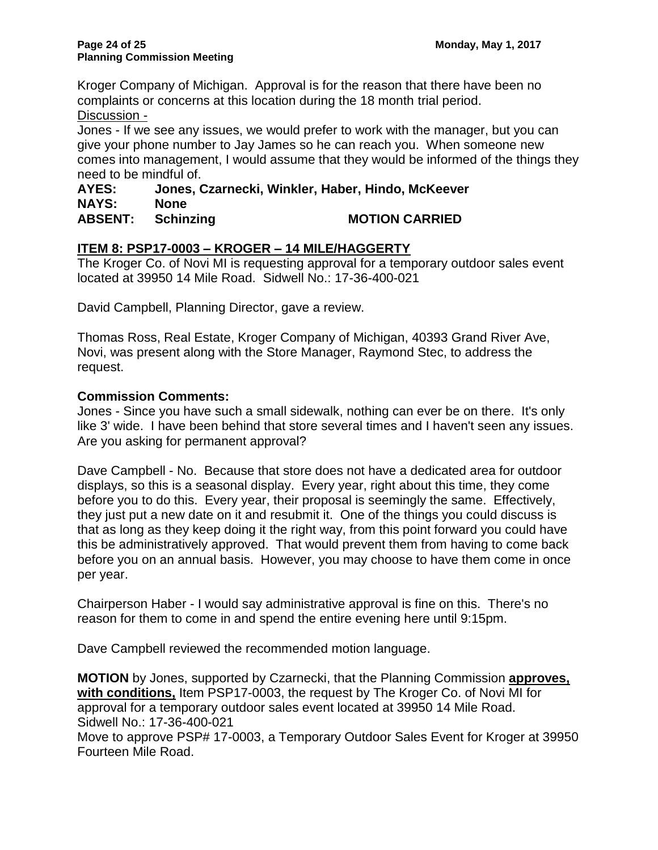Kroger Company of Michigan. Approval is for the reason that there have been no complaints or concerns at this location during the 18 month trial period. Discussion -

Jones - If we see any issues, we would prefer to work with the manager, but you can give your phone number to Jay James so he can reach you. When someone new comes into management, I would assume that they would be informed of the things they need to be mindful of.

#### **AYES: Jones, Czarnecki, Winkler, Haber, Hindo, McKeever NAYS: None ABSENT: Schinzing MOTION CARRIED**

## **ITEM 8: PSP17-0003 – KROGER – 14 MILE/HAGGERTY**

The Kroger Co. of Novi MI is requesting approval for a temporary outdoor sales event located at 39950 14 Mile Road. Sidwell No.: 17-36-400-021

David Campbell, Planning Director, gave a review.

Thomas Ross, Real Estate, Kroger Company of Michigan, 40393 Grand River Ave, Novi, was present along with the Store Manager, Raymond Stec, to address the request.

#### **Commission Comments:**

Jones - Since you have such a small sidewalk, nothing can ever be on there. It's only like 3' wide. I have been behind that store several times and I haven't seen any issues. Are you asking for permanent approval?

Dave Campbell - No. Because that store does not have a dedicated area for outdoor displays, so this is a seasonal display. Every year, right about this time, they come before you to do this. Every year, their proposal is seemingly the same. Effectively, they just put a new date on it and resubmit it. One of the things you could discuss is that as long as they keep doing it the right way, from this point forward you could have this be administratively approved. That would prevent them from having to come back before you on an annual basis. However, you may choose to have them come in once per year.

Chairperson Haber - I would say administrative approval is fine on this. There's no reason for them to come in and spend the entire evening here until 9:15pm.

Dave Campbell reviewed the recommended motion language.

**MOTION** by Jones, supported by Czarnecki, that the Planning Commission **approves, with conditions,** Item PSP17-0003, the request by The Kroger Co. of Novi MI for approval for a temporary outdoor sales event located at 39950 14 Mile Road. Sidwell No.: 17-36-400-021

Move to approve PSP# 17-0003, a Temporary Outdoor Sales Event for Kroger at 39950 Fourteen Mile Road.